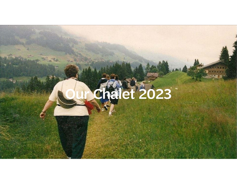# Our Chalet 2023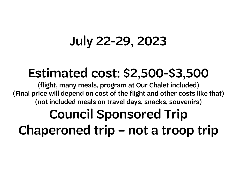## July 22-29, 2023

### Estimated cost: \$2,500-\$3,500

(flight, many meals, program at Our Chalet included) (Final price will depend on cost of the flight and other costs like that) (not included meals on travel days, snacks, souvenirs)

# Council Sponsored Trip Chaperoned trip – not a troop trip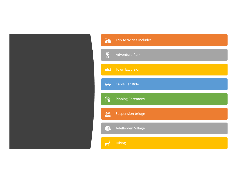

|                | <b>Trip Activities Includes:</b> |
|----------------|----------------------------------|
| 贤              | <b>Adventure Park</b>            |
| $\overline{a}$ | <b>Town Excursion</b>            |
| $\bigoplus$    | Cable Car Ride                   |
| <b>FA</b>      | <b>Pinning Ceremony</b>          |
| 墊              | <b>Suspension bridge</b>         |
| $\frac{1}{2}$  | Adelboden Village                |
|                | <b>Hiking</b>                    |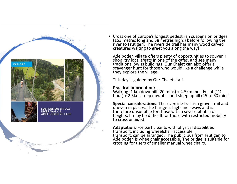![](_page_3_Picture_0.jpeg)

• Cross one of Europe's longest pedestrian suspension bridges (153 metres long and 38 metres high!) before following the<br>river to Frutigen. The riverside trail has many wood carved<br>creatures waiting to greet you along the way!

Adelboden village offers plenty of opportunities to souvenir<br>shop, try local treats in one of the cafes, and see many<br>traditional Swiss buildings. Our Chalet can also offer a<br>scavenger hunt for those who would like a chall

This day is guided by Our Chalet staff.

#### **Practical information:**

Walking: 1 km downhill (20 mins) + 4.5km mostly flat (1¼ hour) + 2.5km steep downhill and steep uphill (45 to 60 mins)

**Special considerations:** The riverside trail is a gravel trail and uneven in places. The bridge is high and sways and is therefore unsuitable for those with a severe phobia of heights. It may be difficult for those with r

Adaptation: For participants with physical disabilities<br>transport, including wheelchair accessible<br>transport, can be arranged. The public bus from Frutigen to<br>Adelboden is wheelchair accessible. The bridge is suitable for<br>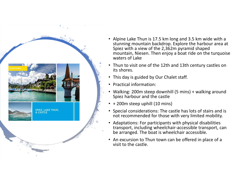![](_page_4_Picture_0.jpeg)

- Alpine Lake Thun is 17.5 km long and 3.5 km wide with a stunning mountain backdrop. Explore the harbour area at Spiez with a view of the 2,362m pyramid shaped mountain, Niesen. Then enjoy a boat ride on the turquoise waters of Lake
- Thun to visit one of the 12th and 13th century castles on its shores.
- This day is guided by Our Chalet staff.
- Practical information:
- Walking: 200m steep downhill (5 mins) + walking around Spiez harbour and the castle
- + 200m steep uphill (10 mins)
- Special considerations: The castle has lots of stairs and is not recommended for those with very limited mobility.
- Adaptations: For participants with physical disabilities transport, including wheelchair‐accessible transport, can be arranged. The boat is wheelchair accessible.
- An excursion to Thun town can be offered in place of a visit to the castle.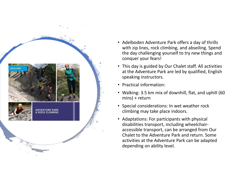![](_page_5_Picture_0.jpeg)

- Adelboden Adventure Park offers a day of thrills with zip lines, rock climbing, and abseiling. Spend the day challenging yourself to try new things and conquer your fears!
- This day is guided by Our Chalet staff. All activities at the Adventure Park are led by qualified, English speaking instructors.
- Practical information:
- Walking: 3.5 km mix of downhill, flat, and uphill (60 mins) + return
- Special considerations: In wet weather rock climbing may take place indoors.
- Adaptations: For participants with physical disabilities transport, including wheelchair‐ accessible transport, can be arranged from Our Chalet to the Adventure Park and return. Some activities at the Adventure Park can be adapted depending on ability level.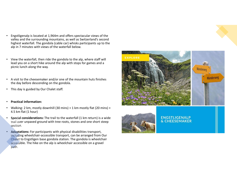- • Engstligenalp is located at 1,964m and offers spectacular views of the valley and the surrounding mountains, as well as Switzerland's second highest waterfall. The gondola (cable car) whisks participants up to the alp in 7 minutes with views of the waterfall below.
- • View the waterfall, then ride the gondola to the alp, where staff will lead you on a short hike around the alp with stops for games and a picnic lunch along the way.
- A visit to the cheesemaker and/or one of the mountain huts finishes the day before descending on the gondola.
- •This day is guided by Our Chalet staff.
- •**Practical information:**
- • Walking: 2 km, mostly downhill (30 mins) + 1 km mostly flat (20 mins) + 4.5 km flat (1 hour)
- • **Special considerations:** The trail to the waterfall (1 km return) is a wide trail over unpaved ground with tree roots, stones and one short steep section.
- • **Adaptations:** For participants with physical disabilities transport, including wheelchair‐accessible transport, can be arranged from Our Chalet to Engstligen base gondola station. The gondola is wheelchair accessible. The hike on the alp is wheelchair accessible on a gravel path.

![](_page_6_Picture_8.jpeg)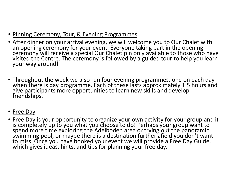- Pinning Ceremony, Tour, & Evening Programmes
- After dinner on your arrival evening, we will welcome you to Our Chalet with<br>an opening ceremony for your event. Everyone taking part in the opening<br>ceremony will receive a special Our Chalet pin only available to those
- Throughout the week we also run four evening programmes, one on each day when there is day programme. Each of these lasts approximately 1.5 hours and give participants more opportunities to learn new skills and develop f
- Free Day
- Free Day is your opportunity to organize your own activity for your group and it is completely up to you what you choose to do! Perhaps your group want to spend more time exploring the Adelboden area or trying out the pa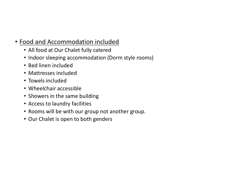### • Food and Accommodation included

- All food at Our Chalet fully catered
- Indoor sleeping accommodation (Dorm style rooms)
- Bed linen included
- Mattresses included
- Towels included
- Wheelchair accessible
- Showers in the same building
- Access to laundry facilities
- Rooms will be with our group not another group.
- Our Chalet is open to both genders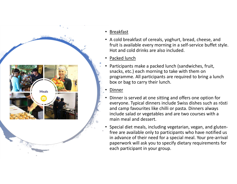![](_page_9_Picture_0.jpeg)

#### •Breakfast

- A cold breakfast of cereals, yoghurt, bread, cheese, and fruit is available every morning in a self‐service buffet style. Hot and cold drinks are also included.
- •• Packed lunch
- • Participants make a packed lunch (sandwiches, fruit, snacks, etc.) each morning to take with them on programme. All participants are required to bring a lunch box or bag to carry their lunch.
- •Dinner
- • Dinner is served at one sitting and offers one option for everyone. Typical dinners include Swiss dishes such as rösti and camp favourites like chilli or pasta. Dinners always include salad or vegetables and are two courses with a main meal and dessert.
- Special diet meals, including vegetarian, vegan, and gluten‐ free are available only to participants who have notified us in advance of their need for a special meal. Your pre‐arrival paperwork will ask you to specify dietary requirements for each participant in your group.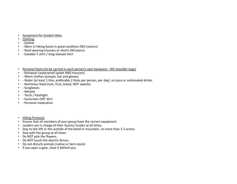- •Equipment for Guided Hikes
- Clothing
- ‐ Sunhat
- - Worn in hiking boots in good condition (NO trainers)
- - Hard-wearing trousers or shorts (NO jeans)
- ‐ Suitable T‐shirt / long‐sleeved shirt
- •Personal Items (to be carried in each person's own backpack – NO shoulder bags)
- ‐ Rainwear (waterproof jacket AND trousers)
- •‐ Warm clothes (jumper, hat and gloves)
- •‐ Water (at least 1 litre, preferably 2 litres per person, per day), no juice or carbonated drinks
- •‐ Nutritious food (nuts, fruit, bread, NOT sweets)
- ‐ Sunglasses
- ‐ Whistle
- ‐ Torch / flashlight
- ‐ Sunscreen (SPF 30+)
- ‐ Personal medication
- •Hiking Protocol:
- Ensure that all members of your group have the correct equipment.
- Leaders are in charge of their Scouts/ Guides at all times.
- •Stay to the left or the outside of the bend or mountain, no more than 1‐2 across
- Stay with the group at all times
- Do NOT pick the flowers.
- Do NOT touch the electric fences.
- Do not disturb animals (native or farm stock)
- If you open a gate, close it behind you.